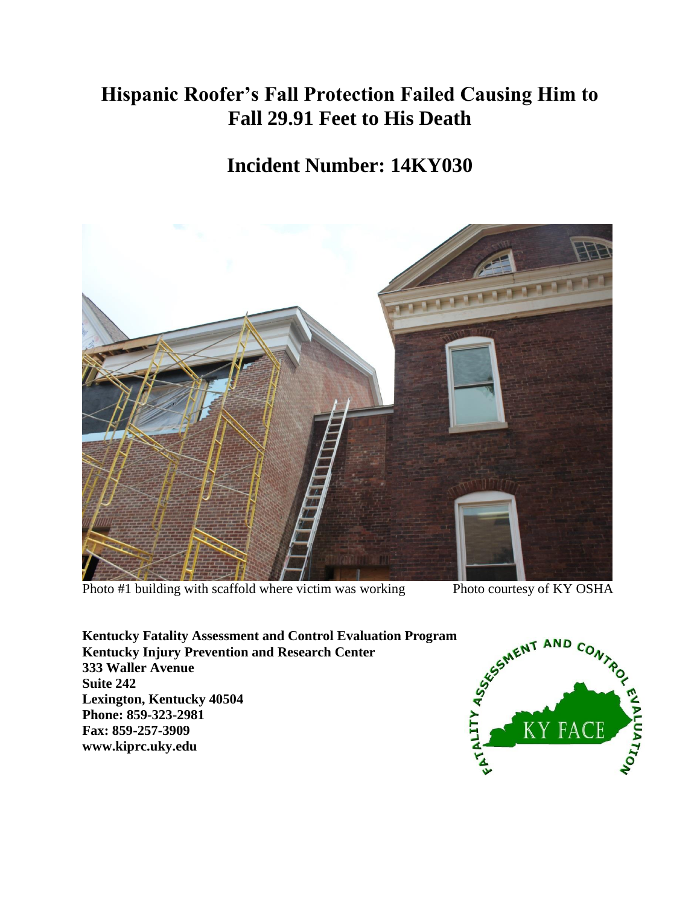## **Hispanic Roofer's Fall Protection Failed Causing Him to Fall 29.91 Feet to His Death**

## **Incident Number: 14KY030**



Photo #1 building with scaffold where victim was working<br>
Exerticely of KY OSHA<br>
Kentucky Fatality Assessment and Control Evaluation Program<br>
Solute AT AND CO<sub>N</sub><br>
Solute AT AND CO<sub>N</sub><br>
Solute 242<br>
Lexington, Kentucky 40504<br> **Kentucky Fatality Assessment and Control Evaluation Program Kentucky Injury Prevention and Research Center 333 Waller Avenue Suite 242 Lexington, Kentucky 40504 Phone: 859-323-2981 Fax: 859-257-3909 www.kiprc.uky.edu**

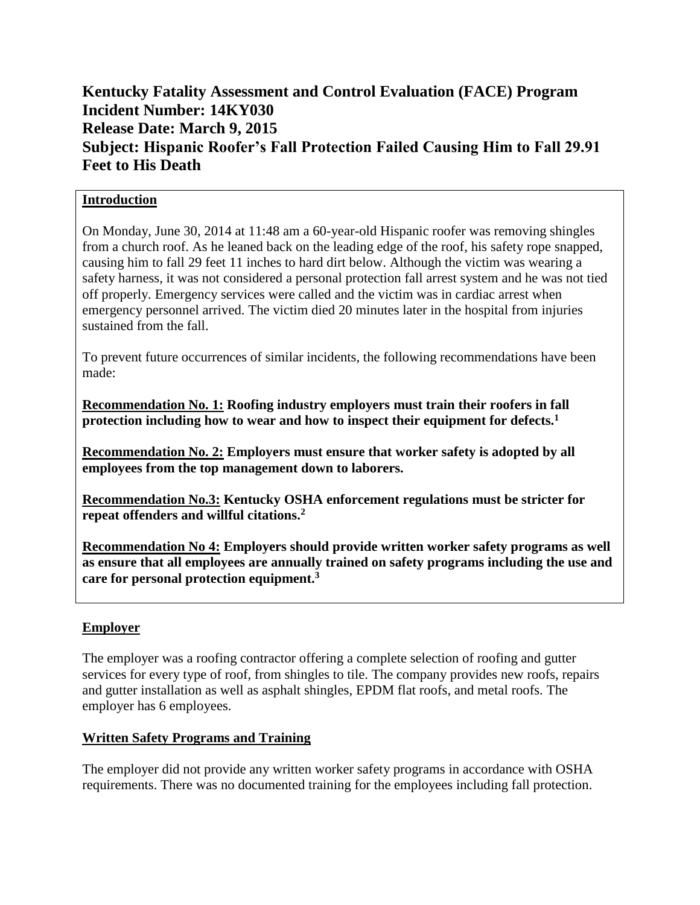### **Kentucky Fatality Assessment and Control Evaluation (FACE) Program Incident Number: 14KY030 Release Date: March 9, 2015 Subject: Hispanic Roofer's Fall Protection Failed Causing Him to Fall 29.91 Feet to His Death**

#### **Introduction**

On Monday, June 30, 2014 at 11:48 am a 60-year-old Hispanic roofer was removing shingles from a church roof. As he leaned back on the leading edge of the roof, his safety rope snapped, causing him to fall 29 feet 11 inches to hard dirt below. Although the victim was wearing a safety harness, it was not considered a personal protection fall arrest system and he was not tied off properly. Emergency services were called and the victim was in cardiac arrest when emergency personnel arrived. The victim died 20 minutes later in the hospital from injuries sustained from the fall.

To prevent future occurrences of similar incidents, the following recommendations have been made:

**Recommendation No. 1: Roofing industry employers must train their roofers in fall protection including how to wear and how to inspect their equipment for defects.<sup>1</sup>**

**Recommendation No. 2: Employers must ensure that worker safety is adopted by all employees from the top management down to laborers.**

**Recommendation No.3: Kentucky OSHA enforcement regulations must be stricter for repeat offenders and willful citations.<sup>2</sup>**

**Recommendation No 4: Employers should provide written worker safety programs as well as ensure that all employees are annually trained on safety programs including the use and care for personal protection equipment.<sup>3</sup>**

#### **Employer**

The employer was a roofing contractor offering a complete selection of roofing and gutter services for every type of roof, from shingles to tile. The company provides new roofs, repairs and gutter installation as well as asphalt shingles, EPDM flat roofs, and metal roofs. The employer has 6 employees.

#### **Written Safety Programs and Training**

The employer did not provide any written worker safety programs in accordance with OSHA requirements. There was no documented training for the employees including fall protection.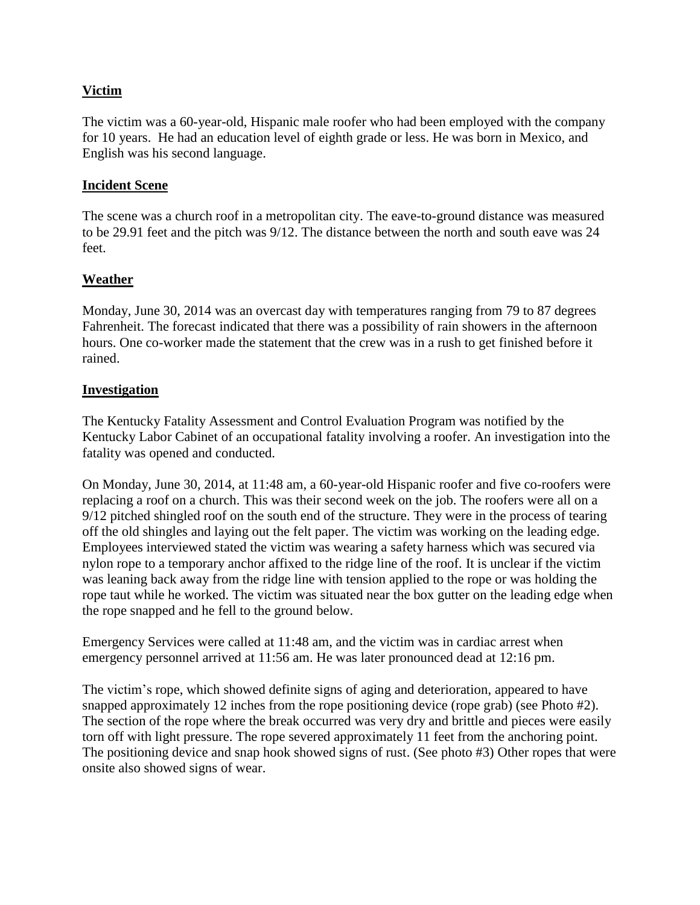#### **Victim**

The victim was a 60-year-old, Hispanic male roofer who had been employed with the company for 10 years. He had an education level of eighth grade or less. He was born in Mexico, and English was his second language.

#### **Incident Scene**

The scene was a church roof in a metropolitan city. The eave-to-ground distance was measured to be 29.91 feet and the pitch was 9/12. The distance between the north and south eave was 24 feet.

#### **Weather**

Monday, June 30, 2014 was an overcast day with temperatures ranging from 79 to 87 degrees Fahrenheit. The forecast indicated that there was a possibility of rain showers in the afternoon hours. One co-worker made the statement that the crew was in a rush to get finished before it rained.

#### **Investigation**

The Kentucky Fatality Assessment and Control Evaluation Program was notified by the Kentucky Labor Cabinet of an occupational fatality involving a roofer. An investigation into the fatality was opened and conducted.

On Monday, June 30, 2014, at 11:48 am, a 60-year-old Hispanic roofer and five co-roofers were replacing a roof on a church. This was their second week on the job. The roofers were all on a 9/12 pitched shingled roof on the south end of the structure. They were in the process of tearing off the old shingles and laying out the felt paper. The victim was working on the leading edge. Employees interviewed stated the victim was wearing a safety harness which was secured via nylon rope to a temporary anchor affixed to the ridge line of the roof. It is unclear if the victim was leaning back away from the ridge line with tension applied to the rope or was holding the rope taut while he worked. The victim was situated near the box gutter on the leading edge when the rope snapped and he fell to the ground below.

Emergency Services were called at 11:48 am, and the victim was in cardiac arrest when emergency personnel arrived at 11:56 am. He was later pronounced dead at 12:16 pm.

The victim's rope, which showed definite signs of aging and deterioration, appeared to have snapped approximately 12 inches from the rope positioning device (rope grab) (see Photo #2). The section of the rope where the break occurred was very dry and brittle and pieces were easily torn off with light pressure. The rope severed approximately 11 feet from the anchoring point. The positioning device and snap hook showed signs of rust. (See photo #3) Other ropes that were onsite also showed signs of wear.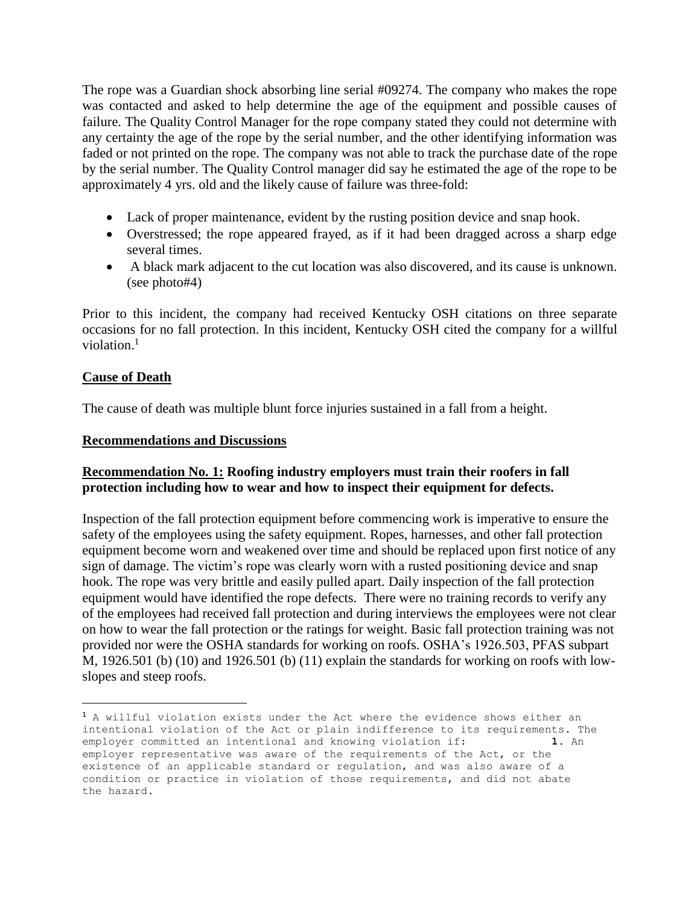The rope was a Guardian shock absorbing line serial #09274. The company who makes the rope was contacted and asked to help determine the age of the equipment and possible causes of failure. The Quality Control Manager for the rope company stated they could not determine with any certainty the age of the rope by the serial number, and the other identifying information was faded or not printed on the rope. The company was not able to track the purchase date of the rope by the serial number. The Quality Control manager did say he estimated the age of the rope to be approximately 4 yrs. old and the likely cause of failure was three-fold:

- Lack of proper maintenance, evident by the rusting position device and snap hook.
- Overstressed; the rope appeared frayed, as if it had been dragged across a sharp edge several times.
- A black mark adjacent to the cut location was also discovered, and its cause is unknown. (see photo#4)

Prior to this incident, the company had received Kentucky OSH citations on three separate occasions for no fall protection. In this incident, Kentucky OSH cited the company for a willful violation.<sup>1</sup>

#### **Cause of Death**

 $\overline{a}$ 

The cause of death was multiple blunt force injuries sustained in a fall from a height.

#### **Recommendations and Discussions**

#### **Recommendation No. 1: Roofing industry employers must train their roofers in fall protection including how to wear and how to inspect their equipment for defects.**

Inspection of the fall protection equipment before commencing work is imperative to ensure the safety of the employees using the safety equipment. Ropes, harnesses, and other fall protection equipment become worn and weakened over time and should be replaced upon first notice of any sign of damage. The victim's rope was clearly worn with a rusted positioning device and snap hook. The rope was very brittle and easily pulled apart. Daily inspection of the fall protection equipment would have identified the rope defects. There were no training records to verify any of the employees had received fall protection and during interviews the employees were not clear on how to wear the fall protection or the ratings for weight. Basic fall protection training was not provided nor were the OSHA standards for working on roofs. OSHA's 1926.503, PFAS subpart M, 1926.501 (b) (10) and 1926.501 (b) (11) explain the standards for working on roofs with lowslopes and steep roofs.

<sup>1</sup> A willful violation exists under the Act where the evidence shows either an intentional violation of the Act or plain indifference to its requirements. The employer committed an intentional and knowing violation if: **1.** An employer representative was aware of the requirements of the Act, or the existence of an applicable standard or regulation, and was also aware of a condition or practice in violation of those requirements, and did not abate the hazard.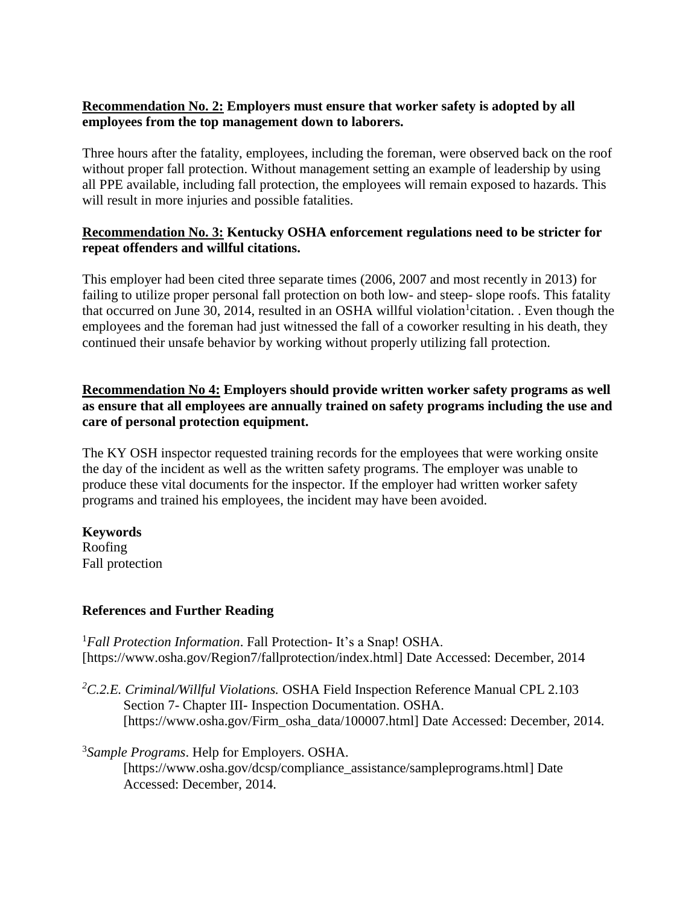#### **Recommendation No. 2: Employers must ensure that worker safety is adopted by all employees from the top management down to laborers.**

Three hours after the fatality, employees, including the foreman, were observed back on the roof without proper fall protection. Without management setting an example of leadership by using all PPE available, including fall protection, the employees will remain exposed to hazards. This will result in more injuries and possible fatalities.

#### **Recommendation No. 3: Kentucky OSHA enforcement regulations need to be stricter for repeat offenders and willful citations.**

This employer had been cited three separate times (2006, 2007 and most recently in 2013) for failing to utilize proper personal fall protection on both low- and steep- slope roofs. This fatality that occurred on June 30, 2014, resulted in an OSHA willful violation<sup>1</sup>citation. . Even though the employees and the foreman had just witnessed the fall of a coworker resulting in his death, they continued their unsafe behavior by working without properly utilizing fall protection.

#### **Recommendation No 4: Employers should provide written worker safety programs as well as ensure that all employees are annually trained on safety programs including the use and care of personal protection equipment.**

The KY OSH inspector requested training records for the employees that were working onsite the day of the incident as well as the written safety programs. The employer was unable to produce these vital documents for the inspector. If the employer had written worker safety programs and trained his employees, the incident may have been avoided.

#### **Keywords**

Roofing Fall protection

#### **References and Further Reading**

<sup>1</sup>*Fall Protection Information*. Fall Protection- It's a Snap! OSHA. [https://www.osha.gov/Region7/fallprotection/index.html] Date Accessed: December, 2014

*<sup>2</sup>C.2.E. Criminal/Willful Violations.* OSHA Field Inspection Reference Manual CPL 2.103 Section 7- Chapter III- Inspection Documentation. OSHA. [https://www.osha.gov/Firm\_osha\_data/100007.html] Date Accessed: December, 2014.

# 3 *Sample Programs*. Help for Employers. OSHA.

[https://www.osha.gov/dcsp/compliance\_assistance/sampleprograms.html] Date Accessed: December, 2014.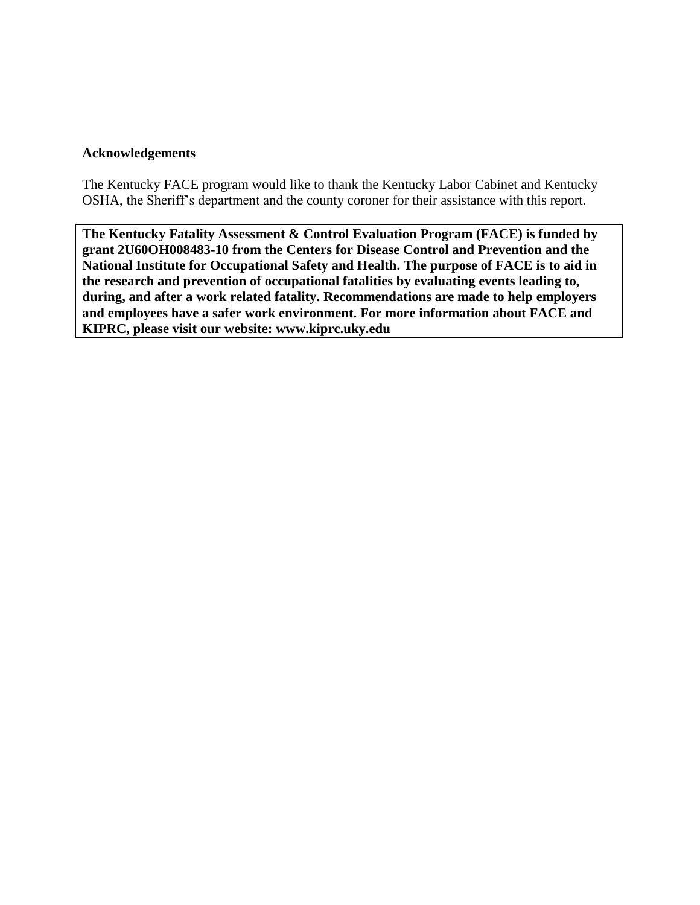#### **Acknowledgements**

The Kentucky FACE program would like to thank the Kentucky Labor Cabinet and Kentucky OSHA, the Sheriff's department and the county coroner for their assistance with this report.

**The Kentucky Fatality Assessment & Control Evaluation Program (FACE) is funded by grant 2U60OH008483-10 from the Centers for Disease Control and Prevention and the National Institute for Occupational Safety and Health. The purpose of FACE is to aid in the research and prevention of occupational fatalities by evaluating events leading to, during, and after a work related fatality. Recommendations are made to help employers and employees have a safer work environment. For more information about FACE and KIPRC, please visit our website: www.kiprc.uky.edu**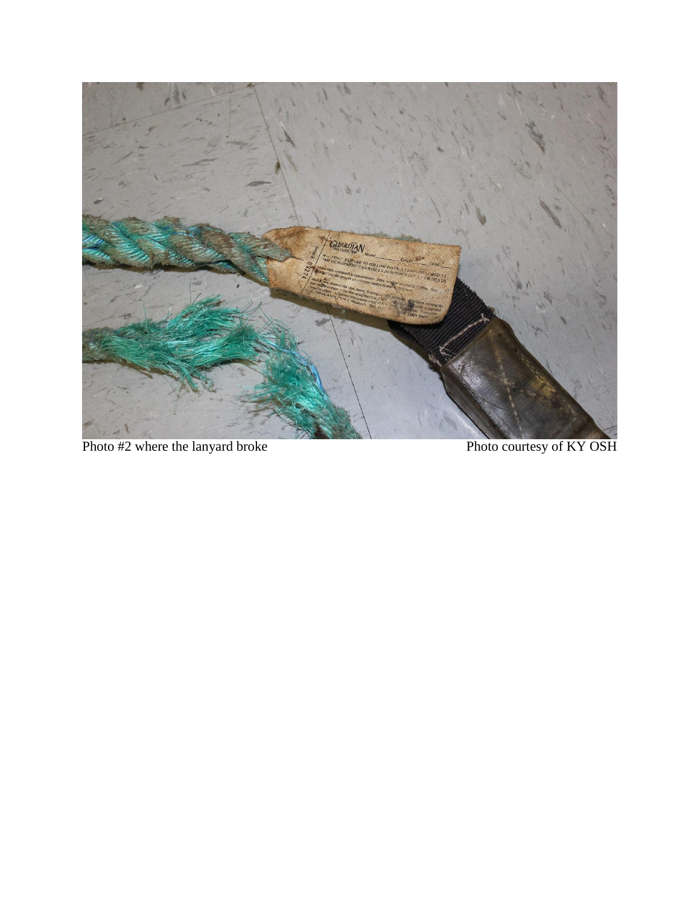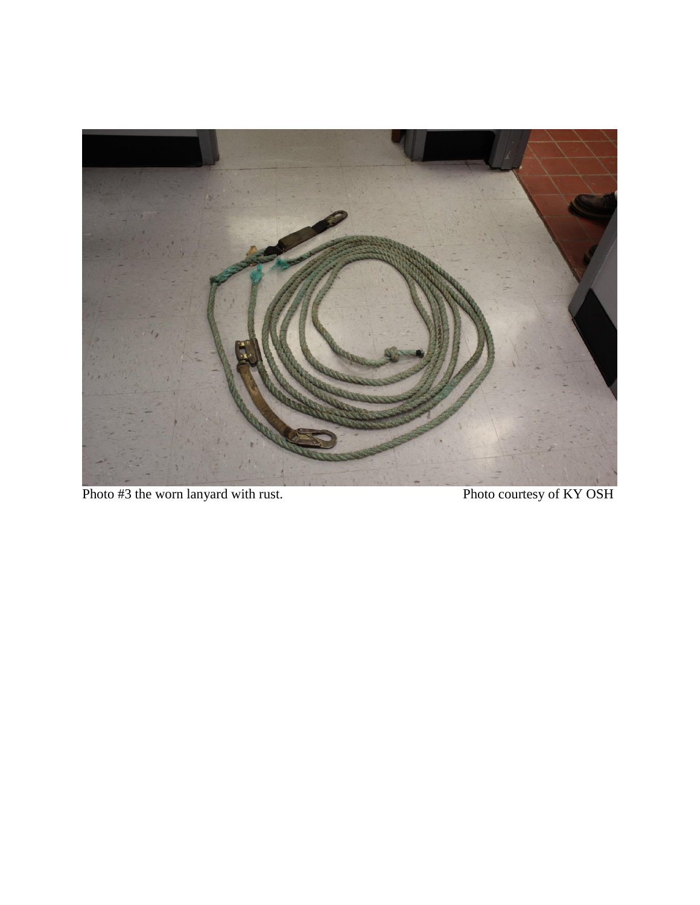

Photo #3 the worn lanyard with rust.<br>Photo courtesy of KY OSH